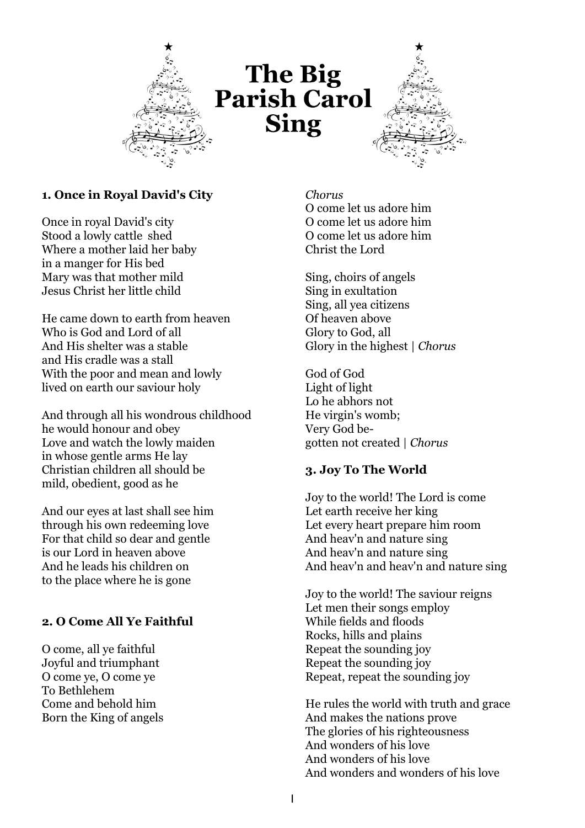

# **The Big<br>Parish Carol Sing**



# **1. Once in Royal David's City**

Once in royal David's city Stood a lowly cattle shed Where a mother laid her baby in a manger for His bed Mary was that mother mild Jesus Christ her little child

He came down to earth from heaven Who is God and Lord of all And His shelter was a stable and His cradle was a stall With the poor and mean and lowly lived on earth our saviour holy

And through all his wondrous childhood he would honour and obey Love and watch the lowly maiden in whose gentle arms He lay Christian children all should be mild, obedient, good as he

And our eyes at last shall see him through his own redeeming love For that child so dear and gentle is our Lord in heaven above And he leads his children on to the place where he is gone

# **2. O Come All Ye Faithful**

O come, all ye faithful Joyful and triumphant O come ye, O come ye To Bethlehem Come and behold him Born the King of angels *Chorus* O come let us adore him O come let us adore him O come let us adore him Christ the Lord

Sing, choirs of angels Sing in exultation Sing, all yea citizens Of heaven above Glory to God, all Glory in the highest | *Chorus*

God of God Light of light Lo he abhors not He virgin's womb; Very God begotten not created | *Chorus*

# **3. Joy To The World**

Joy to the world! The Lord is come Let earth receive her king Let every heart prepare him room And heav'n and nature sing And heav'n and nature sing And heav'n and heav'n and nature sing

Joy to the world! The saviour reigns Let men their songs employ While fields and floods Rocks, hills and plains Repeat the sounding joy Repeat the sounding joy Repeat, repeat the sounding joy

He rules the world with truth and grace And makes the nations prove The glories of his righteousness And wonders of his love And wonders of his love And wonders and wonders of his love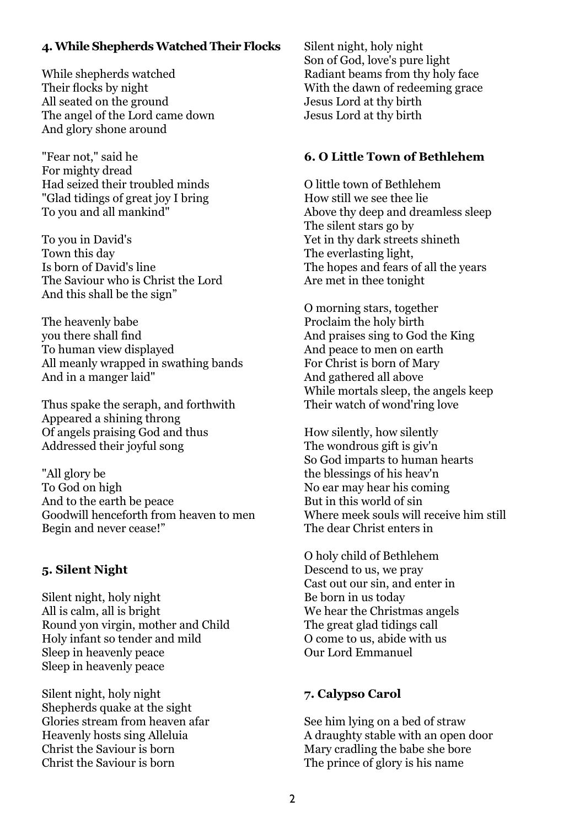## **4. While ShepherdsWatched Their Flocks**

While shepherds watched Their flocks by night All seated on the ground The angel of the Lord came down And glory shone around

"Fear not," said he For mighty dread Had seized their troubled minds "Glad tidings of great joy I bring To you and all mankind"

To you in David's Town this day Is born of David's line The Saviour who is Christ the Lord And this shall be the sign"

The heavenly babe you there shall find To human view displayed All meanly wrapped in swathing bands And in a manger laid"

Thus spake the seraph, and forthwith Appeared a shining throng Of angels praising God and thus Addressed their joyful song

"All glory be To God on high And to the earth be peace Goodwill henceforth from heaven to men Begin and never cease!"

## **5. Silent Night**

Silent night, holy night All is calm, all is bright Round yon virgin, mother and Child Holy infant so tender and mild Sleep in heavenly peace Sleep in heavenly peace

Silent night, holy night Shepherds quake at the sight Glories stream from heaven afar Heavenly hosts sing Alleluia Christ the Saviour is born Christ the Saviour is born

Silent night, holy night Son of God, love's pure light Radiant beams from thy holy face With the dawn of redeeming grace Jesus Lord at thy birth Jesus Lord at thy birth

#### **6. O Little Town of Bethlehem**

O little town of Bethlehem How still we see thee lie Above thy deep and dreamless sleep The silent stars go by Yet in thy dark streets shineth The everlasting light, The hopes and fears of all the years Are met in thee tonight

O morning stars, together Proclaim the holy birth And praises sing to God the King And peace to men on earth For Christ is born of Mary And gathered all above While mortals sleep, the angels keep Their watch of wond'ring love

How silently, how silently The wondrous gift is giv'n So God imparts to human hearts the blessings of his heav'n No ear may hear his coming But in this world of sin Where meek souls will receive him still The dear Christ enters in

O holy child of Bethlehem Descend to us, we pray Cast out our sin, and enter in Be born in us today We hear the Christmas angels The great glad tidings call O come to us, abide with us Our Lord Emmanuel

# **7. Calypso Carol**

See him lying on a bed of straw A draughty stable with an open door Mary cradling the babe she bore The prince of glory is his name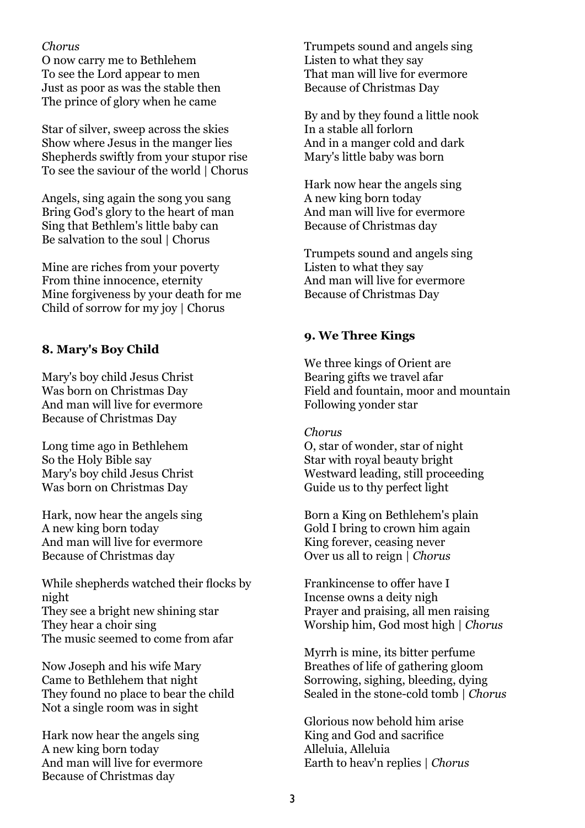#### *Chorus*

O now carry me to Bethlehem To see the Lord appear to men Just as poor as was the stable then The prince of glory when he came

Star of silver, sweep across the skies Show where Jesus in the manger lies Shepherds swiftly from your stupor rise To see the saviour of the world | Chorus

Angels, sing again the song you sang Bring God's glory to the heart of man Sing that Bethlem's little baby can Be salvation to the soul | Chorus

Mine are riches from your poverty From thine innocence, eternity Mine forgiveness by your death for me Child of sorrow for my joy | Chorus

## **8. Mary's Boy Child**

Mary's boy child Jesus Christ Was born on Christmas Day And man will live for evermore Because of Christmas Day

Long time ago in Bethlehem So the Holy Bible say Mary's boy child Jesus Christ Was born on Christmas Day

Hark, now hear the angels sing A new king born today And man will live for evermore Because of Christmas day

While shepherds watched their flocks by night They see a bright new shining star They hear a choir sing The music seemed to come from afar

Now Joseph and his wife Mary Came to Bethlehem that night They found no place to bear the child Not a single room was in sight

Hark now hear the angels sing A new king born today And man will live for evermore Because of Christmas day

Trumpets sound and angels sing Listen to what they say That man will live for evermore Because of Christmas Day

By and by they found a little nook In a stable all forlorn And in a manger cold and dark Mary's little baby was born

Hark now hear the angels sing A new king born today And man will live for evermore Because of Christmas day

Trumpets sound and angels sing Listen to what they say And man will live for evermore Because of Christmas Day

## **9. We Three Kings**

We three kings of Orient are Bearing gifts we travel afar Field and fountain, moor and mountain Following yonder star

#### *Chorus*

O, star of wonder, star of night Star with royal beauty bright Westward leading, still proceeding Guide us to thy perfect light

Born a King on Bethlehem's plain Gold I bring to crown him again King forever, ceasing never Over us all to reign | *Chorus*

Frankincense to offer have I Incense owns a deity nigh Prayer and praising, all men raising Worship him, God most high | *Chorus*

Myrrh is mine, its bitter perfume Breathes of life of gathering gloom Sorrowing, sighing, bleeding, dying Sealed in the stone-cold tomb | *Chorus*

Glorious now behold him arise King and God and sacrifice Alleluia, Alleluia Earth to heav'n replies | *Chorus*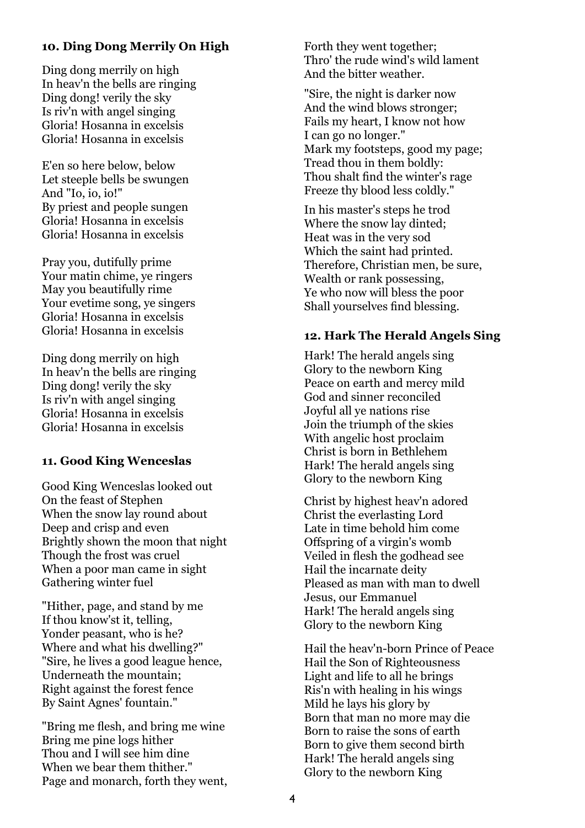## **10. Ding Dong Merrily On High**

Ding dong merrily on high In heav'n the bells are ringing Ding dong! verily the sky Is riv'n with angel singing Gloria! Hosanna in excelsis Gloria! Hosanna in excelsis

E'en so here below, below Let steeple bells be swungen And "Io, io, io!" By priest and people sungen Gloria! Hosanna in excelsis Gloria! Hosanna in excelsis

Pray you, dutifully prime Your matin chime, ye ringers May you beautifully rime Your evetime song, ye singers Gloria! Hosanna in excelsis Gloria! Hosanna in excelsis

Ding dong merrily on high In heav'n the bells are ringing Ding dong! verily the sky Is riv'n with angel singing Gloria! Hosanna in excelsis Gloria! Hosanna in excelsis

## **11. Good King Wenceslas**

Good King Wenceslas looked out On the feast of Stephen When the snow lay round about Deep and crisp and even Brightly shown the moon that night Though the frost was cruel When a poor man came in sight Gathering winter fuel

"Hither, page, and stand by me If thou know'st it, telling, Yonder peasant, who is he? Where and what his dwelling?" "Sire, he lives a good league hence, Underneath the mountain; Right against the forest fence By Saint Agnes' fountain."

"Bring me flesh, and bring me wine Bring me pine logs hither Thou and I will see him dine When we bear them thither." Page and monarch, forth they went, Forth they went together; Thro' the rude wind's wild lament And the bitter weather.

"Sire, the night is darker now And the wind blows stronger; Fails my heart, I know not how I can go no longer." Mark my footsteps, good my page; Tread thou in them boldly: Thou shalt find the winter's rage Freeze thy blood less coldly."

In his master's steps he trod Where the snow lay dinted; Heat was in the very sod Which the saint had printed. Therefore, Christian men, be sure, Wealth or rank possessing, Ye who now will bless the poor Shall yourselves find blessing.

#### **12. Hark The Herald Angels Sing**

Hark! The herald angels sing Glory to the newborn King Peace on earth and mercy mild God and sinner reconciled Joyful all ye nations rise Join the triumph of the skies With angelic host proclaim Christ is born in Bethlehem Hark! The herald angels sing Glory to the newborn King

Christ by highest heav'n adored Christ the everlasting Lord Late in time behold him come Offspring of a virgin's womb Veiled in flesh the godhead see Hail the incarnate deity Pleased as man with man to dwell Jesus, our Emmanuel Hark! The herald angels sing Glory to the newborn King

Hail the heav'n-born Prince of Peace Hail the Son of Righteousness Light and life to all he brings Ris'n with healing in his wings Mild he lays his glory by Born that man no more may die Born to raise the sons of earth Born to give them second birth Hark! The herald angels sing Glory to the newborn King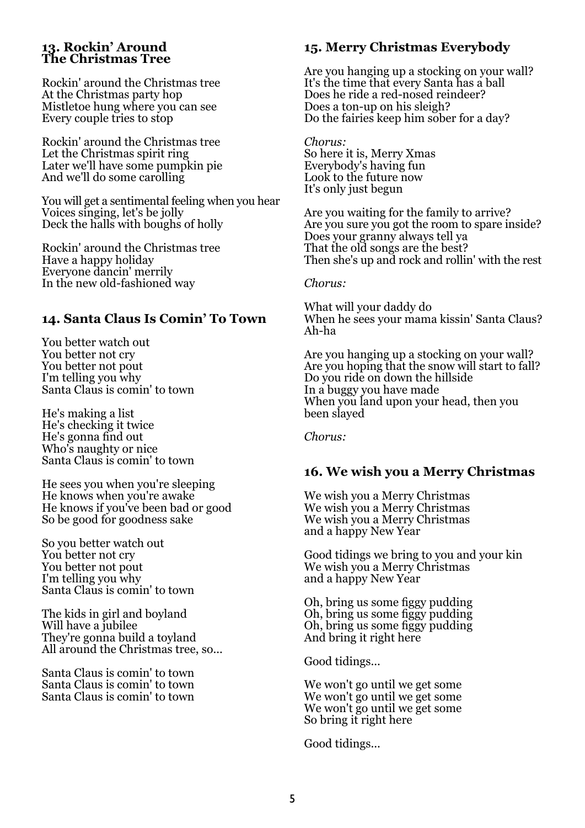#### **13. Rockin' Around The Christmas Tree**

Rockin' around the Christmas tree At the Christmas party hop Mistletoe hung where you can see Every couple tries to stop

Rockin' around the Christmas tree Let the Christmas spirit ring Later we'll have some pumpkin pie And we'll do some carolling

You will get a sentimental feeling when you hear Voices singing, let's be jolly Deck the halls with boughs of holly

Rockin' around the Christmas tree Have a happy holiday Everyone dancin' merrily In the new old-fashioned way

# **14. Santa Claus Is Comin' To Town**

You better watch out You better not cry You better not pout I'm telling you why Santa Claus is comin' to town

He's making a list He's checking it twice He's gonna find out Who's naughty or nice Santa Claus is comin' to town

He sees you when you're sleeping He knows when you're awake He knows if you've been bad or good So be good for goodness sake

So you better watch out You better not cry You better not pout I'm telling you why Santa Claus is comin' to town

The kids in girl and boyland Will have a jubilee They're gonna build a toyland All around the Christmas tree, so...

Santa Claus is comin' to town Santa Claus is comin' to town Santa Claus is comin' to town

# **15. Merry Christmas Everybody**

Are you hanging up a stocking on your wall? It's the time that every Santa has a ball Does he ride a red-nosed reindeer? Does a ton-up on his sleigh? Do the fairies keep him sober for a day?

*Chorus:* So here it is, Merry Xmas Everybody's having fun Look to the future now It's only just begun

Are you waiting for the family to arrive? Are you sure you got the room to spare inside? Does your granny always tell ya That the old songs are the best? Then she's up and rock and rollin' with the rest

*Chorus:*

What will your daddy do When he sees your mama kissin' Santa Claus? Ah-ha

Are you hanging up a stocking on your wall? Are you hoping that the snow will start to fall? Do you ride on down the hillside In a buggy you have made When you land upon your head, then you been slayed

*Chorus:*

#### **16. We wish you a Merry Christmas**

We wish you a Merry Christmas We wish you a Merry Christmas We wish you a Merry Christmas and a happy New Year

Good tidings we bring to you and your kin We wish you a Merry Christmas and a happy New Year

Oh, bring us some figgy pudding Oh, bring us some figgy pudding Oh, bring us some figgy pudding And bring it right here

Good tidings...

We won't go until we get some We won't go until we get some We won't go until we get some So bring it right here

Good tidings...